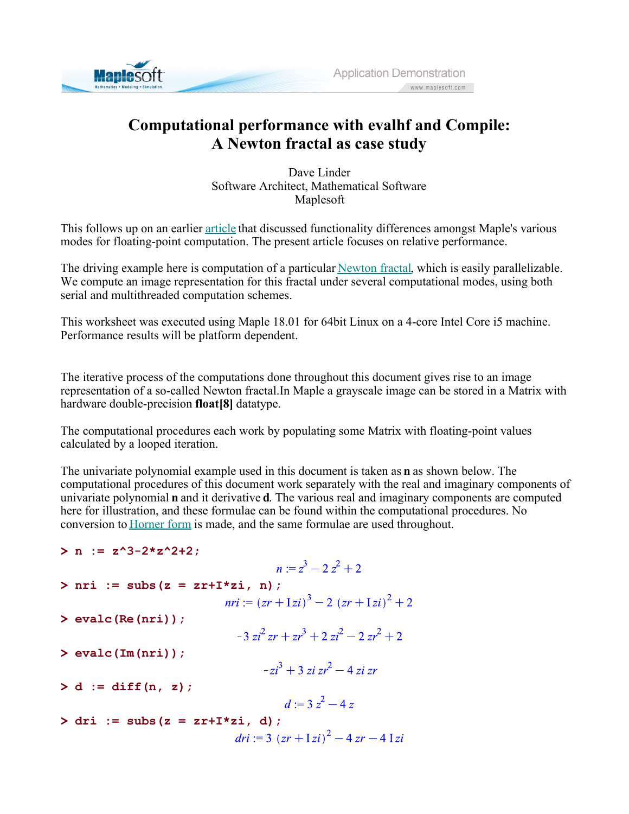

## **Computational performance with evalhf and Compile: A Newton fractal as case study**

Dave Linder Software Architect, Mathematical Software Maplesoft

This follows up on an earlier article that discussed functionality differences amongst Maple's various modes for floating-point computation. The present article focuses on relative performance.

The driving example here is computation of a particular Newton fractal, which is easily parallelizable. We compute an image representation for this fractal under several computational modes, using both serial and multithreaded computation schemes.

This worksheet was executed using Maple 18.01 for 64bit Linux on a 4-core Intel Core i5 machine. Performance results will be platform dependent.

The iterative process of the computations done throughout this document gives rise to an image representation of a so-called Newton fractal.In Maple a grayscale image can be stored in a Matrix with hardware double-precision **float[8]** datatype.

The computational procedures each work by populating some Matrix with floating-point values calculated by a looped iteration.

The univariate polynomial example used in this document is taken as **n** as shown below. The computational procedures of this document work separately with the real and imaginary components of univariate polynomial **n** and it derivative **d**. The various real and imaginary components are computed here for illustration, and these formulae can be found within the computational procedures. No conversion to Horner form is made, and the same formulae are used throughout.

- $> n := z^3 2*z^2 + 2;$
- $n = z<sup>3</sup> 2z<sup>2</sup> + 2$  $> nri := subs(z = zr+I*zi, n);$ **> evalc(Re(nri));**  $-3 zi^2 zr + zr^3 + 2 zi^2 - 2 zr^2 + 2$ **> evalc(Im(nri));**  $-zi^3+3zi zr^2-4zi zr$  $> d := diff(n, z);$  $d = 3z^2 - 4z$  $>$  dri := subs(z = zr+I\*zi, d);  $dri := 3 (zr + \sqrt{z}i)^2 - 4 zr - 4 \sqrt{z}i$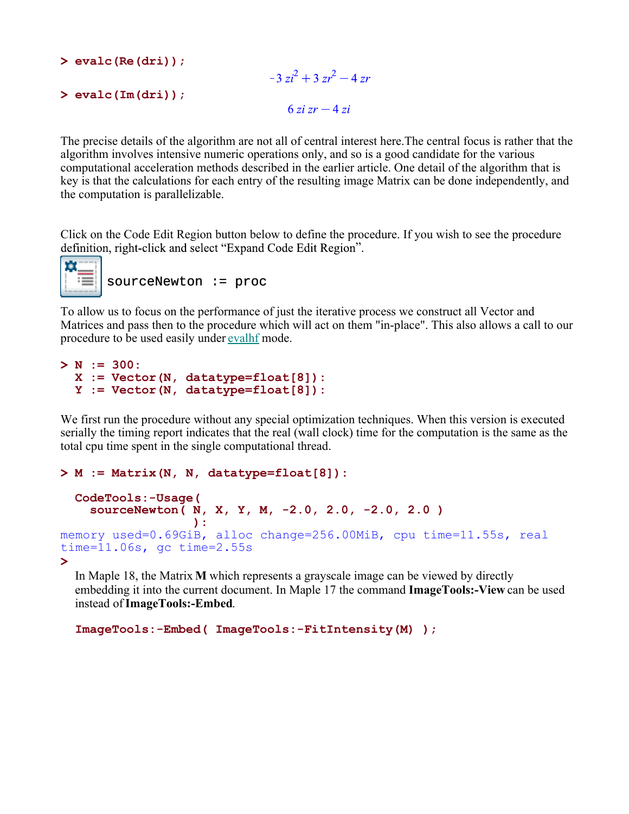**> evalc(Re(dri));**

```
-3zi^2+3zr^2-4zr> 
evalc(Im(dri));
                                   6zi zr - 4zi
```
The precise details of the algorithm are not all of central interest here.The central focus is rather that the algorithm involves intensive numeric operations only, and so is a good candidate for the various computational acceleration methods described in the earlier article. One detail of the algorithm that is key is that the calculations for each entry of the resulting image Matrix can be done independently, and the computation is parallelizable.

Click on the Code Edit Region button below to define the procedure. If you wish to see the procedure definition, right-click and select "Expand Code Edit Region".



sourceNewton := proc

To allow us to focus on the performance of just the iterative process we construct all Vector and Matrices and pass then to the procedure which will act on them "in-place". This also allows a call to our procedure to be used easily under evalhf mode.

```
> 
N := 300:
 X := Vector(N, datatype=float[8]):
 Y := Vector(N, datatype=float[8]):
```
We first run the procedure without any special optimization techniques. When this version is executed serially the timing report indicates that the real (wall clock) time for the computation is the same as the total cpu time spent in the single computational thread.

```
> 
M := Matrix(N, N, datatype=float[8]):
> 
  CodeTools:-Usage(
     sourceNewton( N, X, Y, M, -2.0, 2.0, -2.0, 2.0 )
  b \overline{\phantom{a}} ):
memory used=0.69GiB, alloc change=256.00MiB, cpu time=11.55s, real 
time=11.06s, gc time=2.55s
```
In Maple 18, the Matrix **M** which represents a grayscale image can be viewed by directly embedding it into the current document. In Maple 17 the command **ImageTools:-View** can be used instead of **ImageTools:-Embed**.

**ImageTools:-Embed( ImageTools:-FitIntensity(M) );**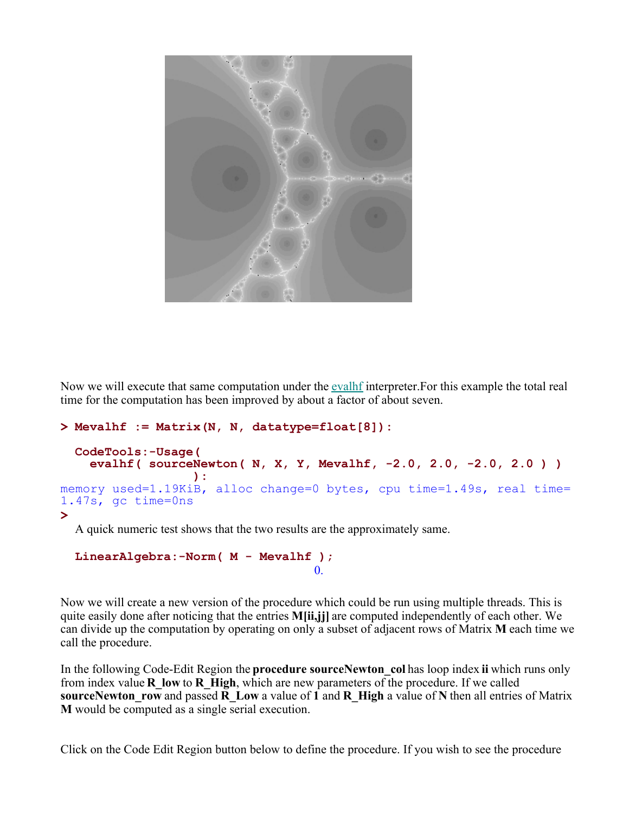

Now we will execute that same computation under the evalh interpreter. For this example the total real time for the computation has been improved by about a factor of about seven.

```
> 
Mevalhf := Matrix(N, N, datatype=float[8]):
```

```
> 
  CodeTools:-Usage(
     evalhf( sourceNewton( N, X, Y, Mevalhf, -2.0, 2.0, -2.0, 2.0 ) )
  b \overline{\phantom{a}} ):
memory used=1.19KiB, alloc change=0 bytes, cpu time=1.49s, real time=
1.47s, gc time=0ns
```
A quick numeric test shows that the two results are the approximately same.

```
LinearAlgebra:-Norm( M - Mevalhf );
                                 0.
```
Now we will create a new version of the procedure which could be run using multiple threads. This is quite easily done after noticing that the entries **M[ii,jj]** are computed independently of each other. We can divide up the computation by operating on only a subset of adjacent rows of Matrix **M** each time we call the procedure.

In the following Code-Edit Region the **procedure sourceNewton\_col** has loop index **ii** which runs only from index value **R\_low** to **R\_High**, which are new parameters of the procedure. If we called **sourceNewton\_row** and passed **R\_Low** a value of **1** and **R\_High** a value of **N** then all entries of Matrix **M** would be computed as a single serial execution.

Click on the Code Edit Region button below to define the procedure. If you wish to see the procedure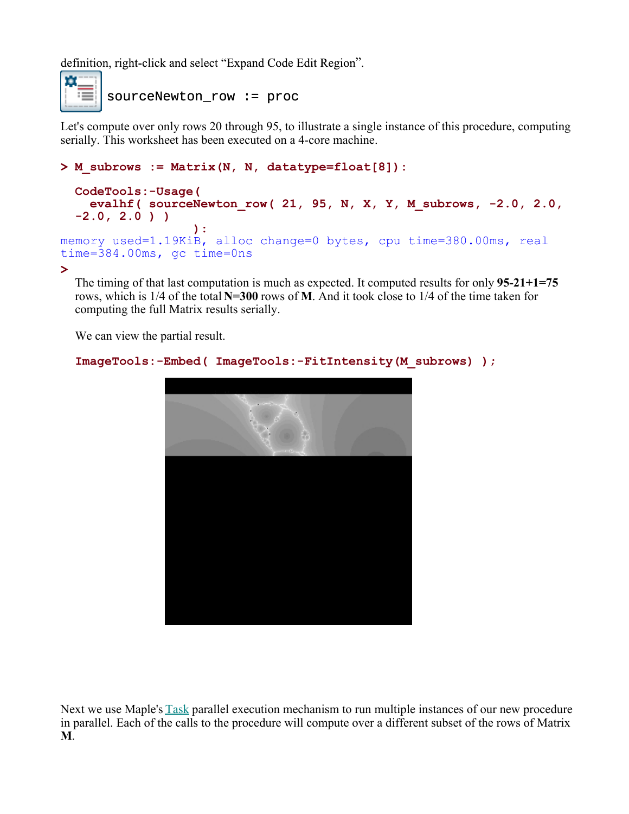definition, right-click and select "Expand Code Edit Region".



sourceNewton\_row := proc

Let's compute over only rows 20 through 95, to illustrate a single instance of this procedure, computing serially. This worksheet has been executed on a 4-core machine.

## **> M\_subrows := Matrix(N, N, datatype=float[8]):**

```
CodeTools:-Usage(
     evalhf( sourceNewton_row( 21, 95, N, X, Y, M_subrows, -2.0, 2.0,
  -2.0, 2.0 ) )
  b \overline{\phantom{a}} ):
memory used=1.19KiB, alloc change=0 bytes, cpu time=380.00ms, real 
time=384.00ms, gc time=0ns
```
**>** 

The timing of that last computation is much as expected. It computed results for only **95-21+1=75** rows, which is 1/4 of the total **N=300** rows of **M**. And it took close to 1/4 of the time taken for computing the full Matrix results serially.

We can view the partial result.

```
ImageTools:-Embed( ImageTools:-FitIntensity(M_subrows) );
```


Next we use Maple's **Task** parallel execution mechanism to run multiple instances of our new procedure in parallel. Each of the calls to the procedure will compute over a different subset of the rows of Matrix **M**.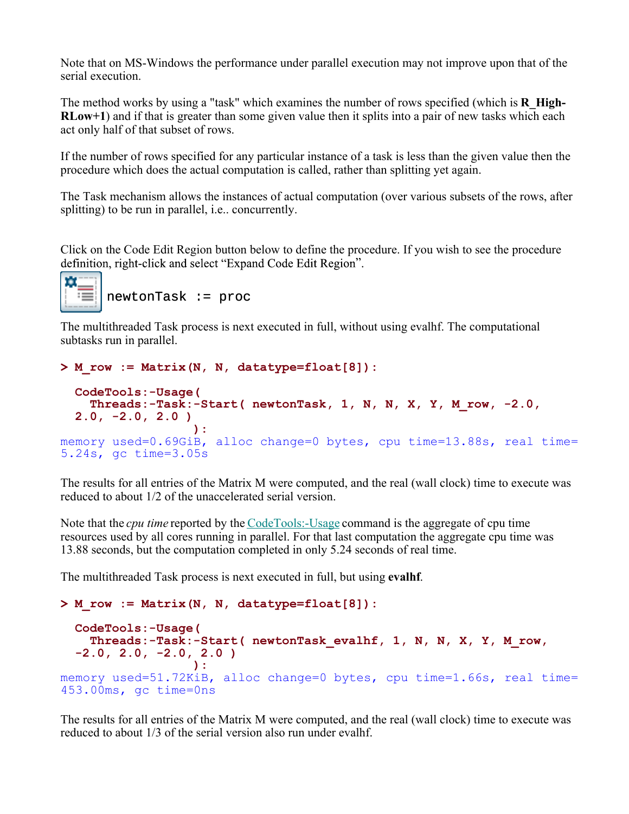Note that on MS-Windows the performance under parallel execution may not improve upon that of the serial execution.

The method works by using a "task" which examines the number of rows specified (which is **R\_High-RLow+1**) and if that is greater than some given value then it splits into a pair of new tasks which each act only half of that subset of rows.

If the number of rows specified for any particular instance of a task is less than the given value then the procedure which does the actual computation is called, rather than splitting yet again.

The Task mechanism allows the instances of actual computation (over various subsets of the rows, after splitting) to be run in parallel, i.e.. concurrently.

Click on the Code Edit Region button below to define the procedure. If you wish to see the procedure definition, right-click and select "Expand Code Edit Region".



The multithreaded Task process is next executed in full, without using evalhf. The computational subtasks run in parallel.

```
> 
M_row := Matrix(N, N, datatype=float[8]):
```

```
CodeTools:-Usage(
     Threads:-Task:-Start( newtonTask, 1, N, N, X, Y, M_row, -2.0, 
 2.0, -2.0, 2.0 )
  b \overline{\phantom{a}} ):
memory used=0.69GiB, alloc change=0 bytes, cpu time=13.88s, real time=
5.24s, gc time=3.05s
```
The results for all entries of the Matrix M were computed, and the real (wall clock) time to execute was reduced to about 1/2 of the unaccelerated serial version.

Note that the *cpu time* reported by the CodeTools:-Usage command is the aggregate of cpu time resources used by all cores running in parallel. For that last computation the aggregate cpu time was 13.88 seconds, but the computation completed in only 5.24 seconds of real time.

The multithreaded Task process is next executed in full, but using **evalhf**.

```
> 
M_row := Matrix(N, N, datatype=float[8]):
```

```
CodeTools:-Usage(
     Threads:-Task:-Start( newtonTask_evalhf, 1, N, N, X, Y, M_row, 
  -2.0, 2.0, -2.0, 2.0 )
  b \overline{\phantom{a}} ):
memory used=51.72KiB, alloc change=0 bytes, cpu time=1.66s, real time=
453.00ms, gc time=0ns
```
The results for all entries of the Matrix M were computed, and the real (wall clock) time to execute was reduced to about 1/3 of the serial version also run under evalhf.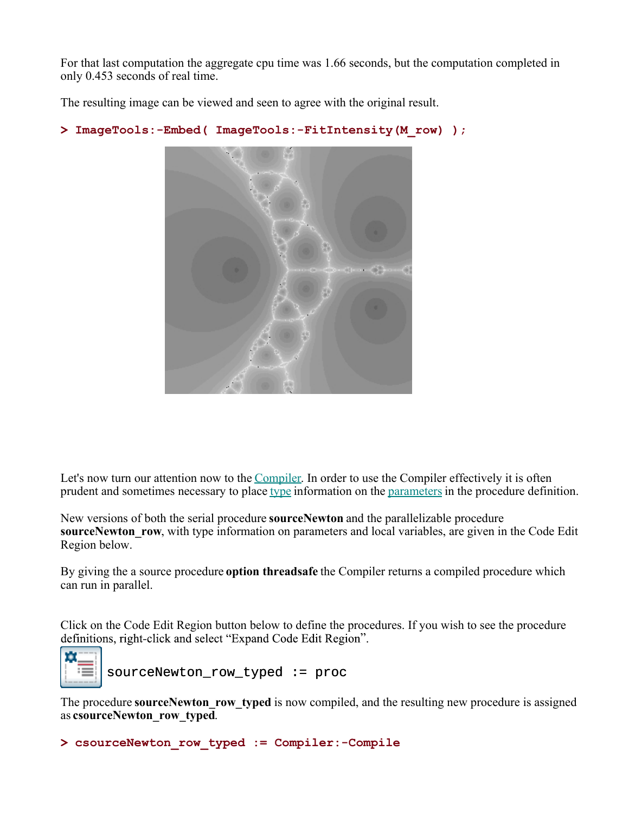For that last computation the aggregate cpu time was 1.66 seconds, but the computation completed in only 0.453 seconds of real time.

The resulting image can be viewed and seen to agree with the original result.

```
> 
ImageTools:-Embed( ImageTools:-FitIntensity(M_row) );
```


Let's now turn our attention now to the Compiler. In order to use the Compiler effectively it is often prudent and sometimes necessary to place type information on the parameters in the procedure definition.

New versions of both the serial procedure **sourceNewton** and the parallelizable procedure **sourceNewton row**, with type information on parameters and local variables, are given in the Code Edit Region below.

By giving the a source procedure **option threadsafe** the Compiler returns a compiled procedure which can run in parallel.

Click on the Code Edit Region button below to define the procedures. If you wish to see the procedure definitions, right-click and select "Expand Code Edit Region".



sourceNewton\_row\_typed := proc

The procedure **sourceNewton** row typed is now compiled, and the resulting new procedure is assigned as **csourceNewton\_row\_typed**.

**> csourceNewton\_row\_typed := Compiler:-Compile**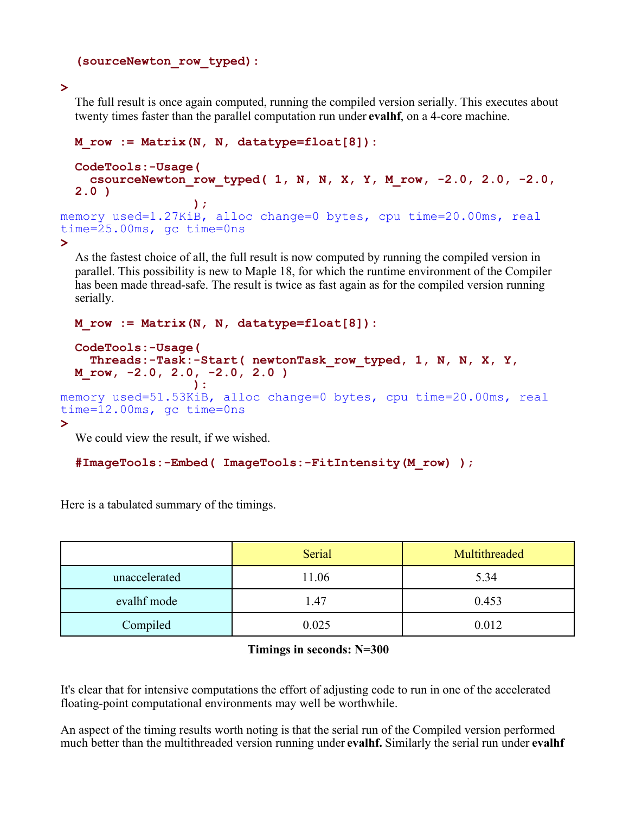```
(sourceNewton_row_typed):
```
**>** 

The full result is once again computed, running the compiled version serially. This executes about twenty times faster than the parallel computation run under **evalhf**, on a 4-core machine.

```
> 
 M_row := Matrix(N, N, datatype=float[8]):
 CodeTools:-Usage(
     csourceNewton_row_typed( 1, N, N, X, Y, M_row, -2.0, 2.0, -2.0, 
 2.0 )
  b \overline{) ;
memory used=1.27KiB, alloc change=0 bytes, cpu time=20.00ms, real 
time=25.00ms, gc time=0ns
```
As the fastest choice of all, the full result is now computed by running the compiled version in parallel. This possibility is new to Maple 18, for which the runtime environment of the Compiler has been made thread-safe. The result is twice as fast again as for the compiled version running serially.

```
> 
 M_row := Matrix(N, N, datatype=float[8]):
 CodeTools:-Usage(
    Threads:-Task:-Start( newtonTask_row_typed, 1, N, N, X, Y, 
 M_row, -2.0, 2.0, -2.0, 2.0 )
   ):
memory used=51.53KiB, alloc change=0 bytes, cpu time=20.00ms, real 
time=12.00ms, gc time=0ns
```
We could view the result, if we wished.

```
#ImageTools:-Embed( ImageTools:-FitIntensity(M_row) );
```
Here is a tabulated summary of the timings.

|               | Serial | Multithreaded |
|---------------|--------|---------------|
| unaccelerated | 11.06  | 5.34          |
| evalhf mode   | 1.47   | 0.453         |
| Compiled      | 0.025  | 0.012         |

## **Timings in seconds: N=300**

It's clear that for intensive computations the effort of adjusting code to run in one of the accelerated floating-point computational environments may well be worthwhile.

An aspect of the timing results worth noting is that the serial run of the Compiled version performed much better than the multithreaded version running under **evalhf.** Similarly the serial run under **evalhf**